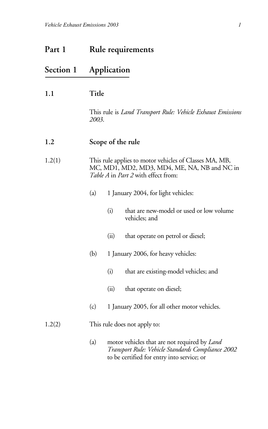### **Part 1 Rule requirements**

# **Section 1 Application**

This rule is *Land Transport Rule: Vehicle Exhaust Emissions 2003*.

| 1.2 | Scope of the rule |  |  |
|-----|-------------------|--|--|
|-----|-------------------|--|--|

1.2(1) This rule applies to motor vehicles of Classes MA, MB, MC, MD1, MD2, MD3, MD4, ME, NA, NB and NC in *Table A* in *Part 2* with effect from:

- (a) 1 January 2004, for light vehicles:
	- (i) that are new-model or used or low volume vehicles; and
	- (ii) that operate on petrol or diesel;
- (b) 1 January 2006, for heavy vehicles:
	- (i) that are existing-model vehicles; and
	- (ii) that operate on diesel;
- (c) 1 January 2005, for all other motor vehicles.

#### 1.2(2) This rule does not apply to:

(a) motor vehicles that are not required by *Land Transport Rule: Vehicle Standards Compliance 2002* to be certified for entry into service; or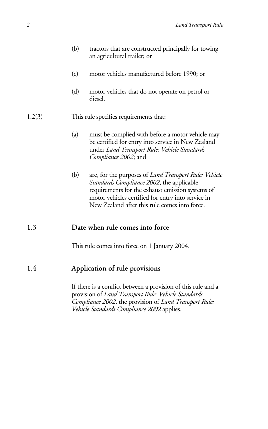|        | (b)                            | tractors that are constructed principally for towing<br>an agricultural trailer; or                                                                                                                                                                                  |  |
|--------|--------------------------------|----------------------------------------------------------------------------------------------------------------------------------------------------------------------------------------------------------------------------------------------------------------------|--|
|        | (c)                            | motor vehicles manufactured before 1990; or                                                                                                                                                                                                                          |  |
|        | (d)                            | motor vehicles that do not operate on petrol or<br>diesel.                                                                                                                                                                                                           |  |
| 1.2(3) |                                | This rule specifies requirements that:                                                                                                                                                                                                                               |  |
|        | (a)                            | must be complied with before a motor vehicle may<br>be certified for entry into service in New Zealand<br>under Land Transport Rule: Vehicle Standards<br>Compliance 2002; and                                                                                       |  |
|        | (b)                            | are, for the purposes of <i>Land Transport Rule: Vehicle</i><br>Standards Compliance 2002, the applicable<br>requirements for the exhaust emission systems of<br>motor vehicles certified for entry into service in<br>New Zealand after this rule comes into force. |  |
| 1.3    |                                | Date when rule comes into force                                                                                                                                                                                                                                      |  |
|        |                                | This rule comes into force on 1 January 2004.                                                                                                                                                                                                                        |  |
| 1.4    | Application of rule provisions |                                                                                                                                                                                                                                                                      |  |

If there is a conflict between a provision of this rule and a provision of *Land Transport Rule: Vehicle Standards Compliance 2002*, the provision of *Land Transport Rule: Vehicle Standards Compliance 2002* applies.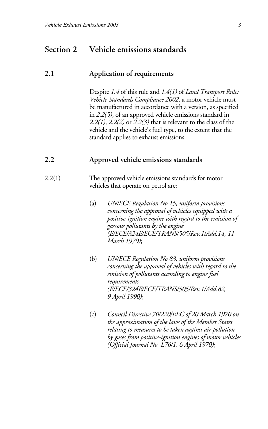### **Section 2 Vehicle emissions standards**

### **2.1 Application of requirements**

Despite *1.4* of this rule and *1.4(1)* of *Land Transport Rule: Vehicle Standards Compliance 2002*, a motor vehicle must be manufactured in accordance with a version, as specified in *2.2(5)*, of an approved vehicle emissions standard in *2.2(1)*, *2.2(2)* or *2.2(3)* that is relevant to the class of the vehicle and the vehicle's fuel type, to the extent that the standard applies to exhaust emissions.

### **2.2 Approved vehicle emissions standards**

- 2.2(1) The approved vehicle emissions standards for motor vehicles that operate on petrol are:
	- (a) *UN/ECE Regulation No 15, uniform provisions concerning the approval of vehicles equipped with a positive-ignition engine with regard to the emission of gaseous pollutants by the engine (E/ECE/324E/ECE/TRANS/505/Rev.1/Add.14, 11 March 1970)*;
	- (b) *UN/ECE Regulation No 83, uniform provisions concerning the approval of vehicles with regard to the emission of pollutants according to engine fuel requirements (E/ECE/324E/ECE/TRANS/505/Rev.1/Add.82, 9 April 1990)*;
	- (c) *Council Directive 70/220/EEC of 20 March 1970 on the approximation of the laws of the Member States relating to measures to be taken against air pollution by gases from positive-ignition engines of motor vehicles (Official Journal No. L76/1, 6 April 1970)*;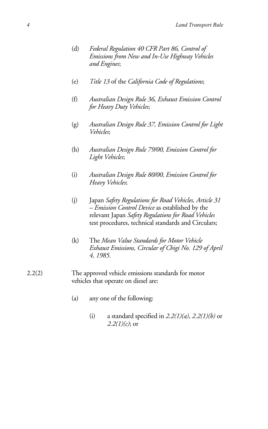- (d) *Federal Regulation 40 CFR Part 86, Control of Emissions from New and In-Use Highway Vehicles and Engines*;
- (e) *Title 13* of the *California Code of Regulations*;
- (f) *Australian Design Rule 36, Exhaust Emission Control for Heavy Duty Vehicles*;
- (g) *Australian Design Rule 37, Emission Control for Light Vehicles*;
- (h) *Australian Design Rule 79/00, Emission Control for Light Vehicles*;
- (i) *Australian Design Rule 80/00, Emission Control for Heavy Vehicles*;
- (j) Japan *Safety Regulations for Road Vehicles, Article 31 – Emission Control Device* as established by the relevant Japan *Safety Regulations for Road Vehicles* test procedures, technical standards and Circulars;
- (k) The *Mean Value Standards for Motor Vehicle Exhaust Emissions, Circular of Chigi No. 129 of April 4, 1985.*
- 2.2(2) The approved vehicle emissions standards for motor vehicles that operate on diesel are:
	- (a) any one of the following:
		- (i) a standard specified in *2.2(1)(a)*, *2.2(1)(b)* or *2.2(1)(c)*; or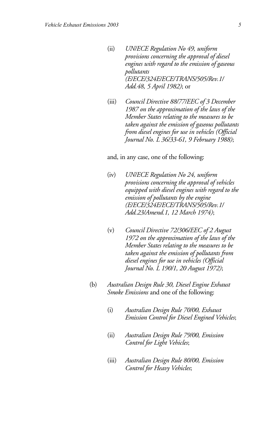- (ii) *UN/ECE Regulation No 49, uniform provisions concerning the approval of diesel engines with regard to the emission of gaseous pollutants (E/ECE/324E/ECE/TRANS/505/Rev.1/ Add.48, 5 April 1982)*; or
- (iii) *Council Directive 88/77/EEC of 3 December 1987 on the approximation of the laws of the Member States relating to the measures to be taken against the emission of gaseous pollutants from diesel engines for use in vehicles (Official Journal No. L 36/33-61, 9 February 1988)*;

#### and, in any case, one of the following:

- (iv) *UN/ECE Regulation No 24, uniform provisions concerning the approval of vehicles equipped with diesel engines with regard to the emission of pollutants by the engine (E/ECE/324E/ECE/TRANS/505/Rev.1/ Add.23/Amend.1, 12 March 1974)*;
- (v) *Council Directive 72/306/EEC of 2 August 1972 on the approximation of the laws of the Member States relating to the measures to be taken against the emission of pollutants from diesel engines for use in vehicles (Official Journal No. L 190/1, 20 August 1972)*;
- (b) *Australian Design Rule 30, Diesel Engine Exhaust Smoke Emissions* and one of the following:
	- (i) *Australian Design Rule 70/00, Exhaust Emission Control for Diesel Engined Vehicles*;
	- (ii) *Australian Design Rule 79/00, Emission Control for Light Vehicles*;
	- (iii) *Australian Design Rule 80/00, Emission Control for Heavy Vehicles*;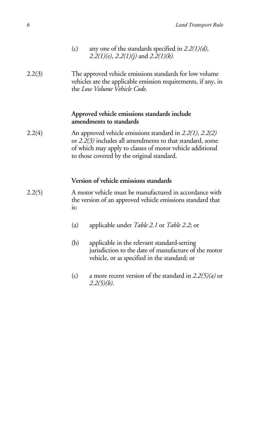|        | (c)<br>any one of the standards specified in $2.2(1)(d)$ ,<br>2.2(1)(e), 2.2(1)(j) and 2.2(1)(k).                                                                                                                                      |
|--------|----------------------------------------------------------------------------------------------------------------------------------------------------------------------------------------------------------------------------------------|
| 2.2(3) | The approved vehicle emissions standards for low volume<br>vehicles are the applicable emission requirements, if any, in<br>the Low Volume Vehicle Code.                                                                               |
|        | Approved vehicle emissions standards include<br>amendments to standards                                                                                                                                                                |
| 2.2(4) | An approved vehicle emissions standard in $2.2(1)$ , $2.2(2)$<br>or $2.2(3)$ includes all amendments to that standard, some<br>of which may apply to classes of motor vehicle additional<br>to those covered by the original standard. |
|        | Version of vehicle emissions standards                                                                                                                                                                                                 |
| 2.2(5) | A motor vehicle must be manufactured in accordance with<br>the version of an approved vehicle emissions standard that<br>is:                                                                                                           |
|        | (a)<br>applicable under <i>Table 2.1</i> or <i>Table 2.2</i> ; or                                                                                                                                                                      |
|        | (b)<br>applicable in the relevant standard-setting<br>jurisdiction to the date of manufacture of the motor<br>vehicle, or as specified in the standard; or                                                                             |
|        | a more recent version of the standard in $2.2(5)(a)$ or<br>(c)<br>$2.2(5)(b)$ .                                                                                                                                                        |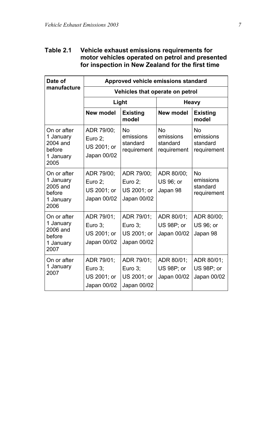### **Table 2.1 Vehicle exhaust emissions requirements for motor vehicles operated on petrol and presented for inspection in New Zealand for the first time**

| Date of                                                             | Approved vehicle emissions standard                 |                                                        |                                            |                                            |  |
|---------------------------------------------------------------------|-----------------------------------------------------|--------------------------------------------------------|--------------------------------------------|--------------------------------------------|--|
| manufacture                                                         | Vehicles that operate on petrol                     |                                                        |                                            |                                            |  |
|                                                                     | Light                                               |                                                        | Heavy                                      |                                            |  |
|                                                                     | New model                                           | <b>Existing</b><br>model                               | New model                                  | <b>Existing</b><br>model                   |  |
| On or after<br>1 January<br>2004 and<br>before<br>1 January<br>2005 | ADR 79/00;<br>Euro 2:<br>US 2001; or<br>Japan 00/02 | <b>No</b><br>emissions<br>standard<br>requirement      | No<br>emissions<br>standard<br>requirement | No<br>emissions<br>standard<br>requirement |  |
| On or after<br>1 January<br>2005 and<br>before<br>1 January<br>2006 | ADR 79/00:<br>Euro 2:<br>US 2001; or<br>Japan 00/02 | ADR 79/00:<br>Euro 2:<br>US 2001; or<br>Japan 00/02    | ADR 80/00;<br>US 96: or<br>Japan 98        | No<br>emissions<br>standard<br>requirement |  |
| On or after<br>1 January<br>2006 and<br>before<br>1 January<br>2007 | ADR 79/01:<br>Euro 3:<br>US 2001; or<br>Japan 00/02 | ADR 79/01;<br>Euro $3$ :<br>US 2001; or<br>Japan 00/02 | ADR 80/01;<br>US 98P; or<br>Japan 00/02    | ADR 80/00:<br>US 96; or<br>Japan 98        |  |
| On or after<br>1 January<br>2007                                    | ADR 79/01:<br>Euro 3:<br>US 2001; or<br>Japan 00/02 | ADR 79/01:<br>Euro 3:<br>US 2001; or<br>Japan 00/02    | ADR 80/01;<br>US 98P; or<br>Japan 00/02    | ADR 80/01:<br>US 98P; or<br>Japan 00/02    |  |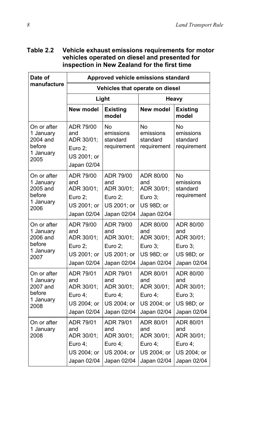### **Table 2.2 Vehicle exhaust emissions requirements for motor vehicles operated on diesel and presented for inspection in New Zealand for the first time**

| Date of                                                             | Approved vehicle emissions standard                                     |                                                                         |                                                                         |                                                                         |  |
|---------------------------------------------------------------------|-------------------------------------------------------------------------|-------------------------------------------------------------------------|-------------------------------------------------------------------------|-------------------------------------------------------------------------|--|
| manufacture                                                         | Vehicles that operate on diesel                                         |                                                                         |                                                                         |                                                                         |  |
|                                                                     |                                                                         | Light                                                                   | Heavy                                                                   |                                                                         |  |
|                                                                     | New model                                                               | <b>Existing</b><br>model                                                | <b>New model</b>                                                        | <b>Existing</b><br>model                                                |  |
| On or after<br>1 January<br>2004 and<br>before<br>1 January<br>2005 | ADR 79/00<br>and<br>ADR 30/01;<br>Euro 2;<br>US 2001; or<br>Japan 02/04 | No<br>emissions<br>standard<br>requirement                              | <b>No</b><br>emissions<br>standard<br>requirement                       | No<br>emissions<br>standard<br>requirement                              |  |
| On or after<br>1 January<br>2005 and<br>before<br>1 January<br>2006 | ADR 79/00<br>and<br>ADR 30/01;<br>Euro 2;<br>US 2001; or<br>Japan 02/04 | ADR 79/00<br>and<br>ADR 30/01;<br>Euro 2;<br>US 2001; or<br>Japan 02/04 | ADR 80/00<br>and<br>ADR 30/01;<br>Euro 3:<br>US 98D; or<br>Japan 02/04  | No<br>emissions<br>standard<br>requirement                              |  |
| On or after<br>1 January<br>2006 and<br>before<br>1 January<br>2007 | ADR 79/00<br>and<br>ADR 30/01;<br>Euro 2;<br>US 2001; or<br>Japan 02/04 | ADR 79/00<br>and<br>ADR 30/01;<br>Euro 2;<br>US 2001; or<br>Japan 02/04 | ADR 80/00<br>and<br>ADR 30/01;<br>Euro 3;<br>US 98D; or<br>Japan 02/04  | ADR 80/00<br>and<br>ADR 30/01;<br>Euro 3;<br>US 98D; or<br>Japan 02/04  |  |
| On or after<br>1 January<br>2007 and<br>before<br>1 January<br>2008 | ADR 79/01<br>and<br>ADR 30/01;<br>Euro 4:<br>US 2004; or<br>Japan 02/04 | ADR 79/01<br>and<br>ADR 30/01;<br>Euro 4;<br>US 2004; or<br>Japan 02/04 | ADR 80/01<br>and<br>ADR 30/01;<br>Euro 4:<br>US 2004; or<br>Japan 02/04 | ADR 80/00<br>and<br>ADR 30/01;<br>Euro 3;<br>US 98D; or<br>Japan 02/04  |  |
| On or after<br>1 January<br>2008                                    | ADR 79/01<br>and<br>ADR 30/01;<br>Euro 4;<br>US 2004; or<br>Japan 02/04 | ADR 79/01<br>and<br>ADR 30/01;<br>Euro 4;<br>US 2004; or<br>Japan 02/04 | ADR 80/01<br>and<br>ADR 30/01;<br>Euro 4;<br>US 2004; or<br>Japan 02/04 | ADR 80/01<br>and<br>ADR 30/01;<br>Euro 4;<br>US 2004; or<br>Japan 02/04 |  |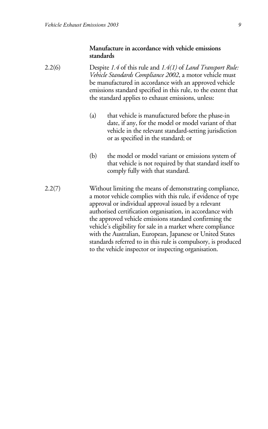### **Manufacture in accordance with vehicle emissions standards**

### 2.2(6) Despite *1.4* of this rule and *1.4(1)* of *Land Transport Rule: Vehicle Standards Compliance 2002*, a motor vehicle must be manufactured in accordance with an approved vehicle emissions standard specified in this rule, to the extent that the standard applies to exhaust emissions, unless:

- (a) that vehicle is manufactured before the phase-in date, if any, for the model or model variant of that vehicle in the relevant standard-setting jurisdiction or as specified in the standard; or
- (b) the model or model variant or emissions system of that vehicle is not required by that standard itself to comply fully with that standard.
- 2.2(7) Without limiting the means of demonstrating compliance, a motor vehicle complies with this rule, if evidence of type approval or individual approval issued by a relevant authorised certification organisation, in accordance with the approved vehicle emissions standard confirming the vehicle's eligibility for sale in a market where compliance with the Australian, European, Japanese or United States standards referred to in this rule is compulsory, is produced to the vehicle inspector or inspecting organisation.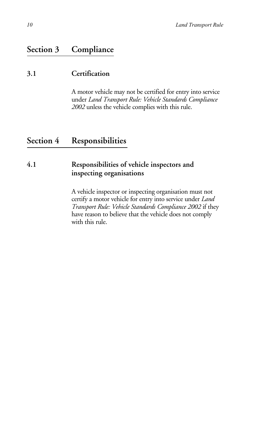### **Section 3 Compliance**

### **3.1 Certification**

A motor vehicle may not be certified for entry into service under *Land Transport Rule: Vehicle Standards Compliance 2002* unless the vehicle complies with this rule.

# **Section 4 Responsibilities**

### **4.1 Responsibilities of vehicle inspectors and inspecting organisations**

A vehicle inspector or inspecting organisation must not certify a motor vehicle for entry into service under *Land Transport Rule: Vehicle Standards Compliance 2002* if they have reason to believe that the vehicle does not comply with this rule.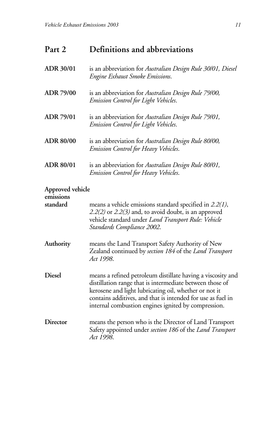# **Part 2 Definitions and abbreviations**

| ADR 30/01                                 | is an abbreviation for Australian Design Rule 30/01, Diesel<br>Engine Exhaust Smoke Emissions.                                                                                                                                                                                                         |
|-------------------------------------------|--------------------------------------------------------------------------------------------------------------------------------------------------------------------------------------------------------------------------------------------------------------------------------------------------------|
| <b>ADR 79/00</b>                          | is an abbreviation for Australian Design Rule 79/00,<br>Emission Control for Light Vehicles.                                                                                                                                                                                                           |
| <b>ADR 79/01</b>                          | is an abbreviation for Australian Design Rule 79/01,<br>Emission Control for Light Vehicles.                                                                                                                                                                                                           |
| <b>ADR 80/00</b>                          | is an abbreviation for Australian Design Rule 80/00,<br>Emission Control for Heavy Vehicles.                                                                                                                                                                                                           |
| <b>ADR 80/01</b>                          | is an abbreviation for Australian Design Rule 80/01,<br><b>Emission Control for Heavy Vehicles.</b>                                                                                                                                                                                                    |
| Approved vehicle<br>emissions<br>standard | means a vehicle emissions standard specified in $2.2(1)$ ,<br>2.2(2) or 2.2(3) and, to avoid doubt, is an approved<br>vehicle standard under Land Transport Rule: Vehicle<br>Standards Compliance 2002.                                                                                                |
| Authority                                 | means the Land Transport Safety Authority of New<br>Zealand continued by section 184 of the Land Transport<br>Act 1998.                                                                                                                                                                                |
| <b>Diesel</b>                             | means a refined petroleum distillate having a viscosity and<br>distillation range that is intermediate between those of<br>kerosene and light lubricating oil, whether or not it<br>contains additives, and that is intended for use as fuel in<br>internal combustion engines ignited by compression. |
| Director                                  | means the person who is the Director of Land Transport<br>Safety appointed under section 186 of the Land Transport<br>Act 1998.                                                                                                                                                                        |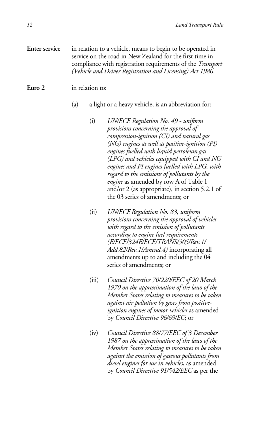### **Enter service** in relation to a vehicle, means to begin to be operated in service on the road in New Zealand for the first time in compliance with registration requirements of the *Transport (Vehicle and Driver Registration and Licensing) Act 1986*.

### **Euro 2** in relation to:

- (a) a light or a heavy vehicle, is an abbreviation for:
	- (i) *UN/ECE Regulation No. 49 uniform provisions concerning the approval of compression-ignition (CI) and natural gas (NG) engines as well as positive-ignition (PI) engines fuelled with liquid petroleum gas (LPG) and vehicles equipped with CI and NG engines and PI engines fuelled with LPG, with regard to the emissions of pollutants by the engine* as amended by row A of Table 1 and/or 2 (as appropriate), in section 5.2.1 of the 03 series of amendments; or
	- (ii) *UN/ECE Regulation No. 83, uniform provisions concerning the approval of vehicles with regard to the emission of pollutants according to engine fuel requirements (E/ECE/324E/ECE/TRANS/505/Rev.1/ Add.82/Rev.1/Amend.4)* incorporating all amendments up to and including the 04 series of amendments; or
	- (iii) *Council Directive 70/220/EEC of 20 March 1970 on the approximation of the laws of the Member States relating to measures to be taken against air pollution by gases from positiveignition engines of motor vehicles* as amended by *Council Directive 96/69/EC*; or
	- (iv) *Council Directive 88/77/EEC of 3 December 1987 on the approximation of the laws of the Member States relating to measures to be taken against the emission of gaseous pollutants from diesel engines for use in vehicles*, as amended by *Council Directive 91/542/EEC* as per the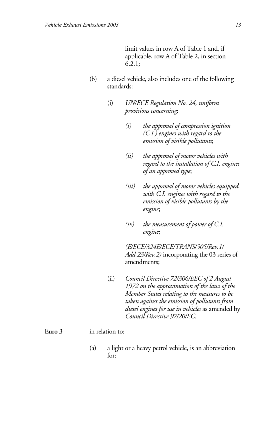limit values in row A of Table 1 and, if applicable, row A of Table 2, in section 6.2.1;

- (b) a diesel vehicle, also includes one of the following standards:
	- (i) *UN/ECE Regulation No. 24, uniform provisions concerning*:
		- *(i) the approval of compression ignition (C.I.) engines with regard to the emission of visible pollutants*;
		- *(ii) the approval of motor vehicles with regard to the installation of C.I. engines of an approved type*;
		- *(iii) the approval of motor vehicles equipped with C.I. engines with regard to the emission of visible pollutants by the engine*;
		- *(iv) the measurement of power of C.I. engine*;

*(E/ECE/324E/ECE/TRANS/505/Rev.1/ Add.23/Rev.2)* incorporating the 03 series of amendments;

(ii) *Council Directive 72/306/EEC of 2 August 1972 on the approximation of the laws of the Member States relating to the measures to be taken against the emission of pollutants from diesel engines for use in vehicles* as amended by *Council Directive 97/20/EC*.

### **Euro 3** in relation to:

(a) a light or a heavy petrol vehicle, is an abbreviation for: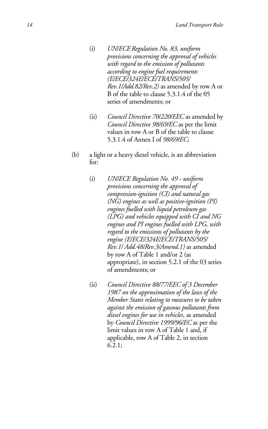- (i) *UN/ECE Regulation No. 83, uniform provisions concerning the approval of vehicles with regard to the emission of pollutants according to engine fuel requirements (E/ECE/324E/ECE/TRANS/505/ Rev.1/Add.82/Rev.2)* as amended by row A or B of the table to clause 5.3.1.4 of the 05 series of amendments; or
- (ii) *Council Directive 70/220/EEC* as amended by *Council Directive 98/69/EC* as per the limit values in row A or B of the table to clause 5.3.1.4 of Annex I of *98/69/EC*;
- (b) a light or a heavy diesel vehicle, is an abbreviation  $for:$ 
	- (i) *UN/ECE Regulation No. 49 uniform provisions concerning the approval of compression-ignition (CI) and natural gas (NG) engines as well as positive-ignition (PI) engines fuelled with liquid petroleum gas (LPG) and vehicles equipped with CI and NG engines and PI engines fuelled with LPG, with regard to the emissions of pollutants by the engine (E/ECE/324E/ECE/TRANS/505/ Rev.1/ Add.48/Rev.3/Amend.1)* as amended by row A of Table 1 and/or 2 (as appropriate), in section 5.2.1 of the 03 series of amendments; or
	- (ii) *Council Directive 88/77/EEC of 3 December 1987 on the approximation of the laws of the Member States relating to measures to be taken against the emission of gaseous pollutants from diesel engines for use in vehicles*, as amended by *Council Directive 1999/96/EC* as per the limit values in row A of Table 1 and, if applicable, row A of Table 2, in section 6.2.1;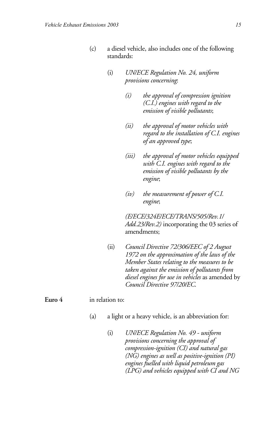- (c) a diesel vehicle, also includes one of the following standards:
	- (i) *UN/ECE Regulation No. 24, uniform provisions concerning*:
		- *(i) the approval of compression ignition (C.I.) engines with regard to the emission of visible pollutants*;
		- *(ii) the approval of motor vehicles with regard to the installation of C.I. engines of an approved type*;
		- *(iii) the approval of motor vehicles equipped with C.I. engines with regard to the emission of visible pollutants by the engine*;
		- *(iv) the measurement of power of C.I. engine*;

*(E/ECE/324E/ECE/TRANS/505/Rev.1/ Add.23/Rev.2)* incorporating the 03 series of amendments;

(ii) *Council Directive 72/306/EEC of 2 August 1972 on the approximation of the laws of the Member States relating to the measures to be taken against the emission of pollutants from diesel engines for use in vehicles* as amended by *Council Directive 97/20/EC*.

### **Euro 4** in relation to:

- (a) a light or a heavy vehicle, is an abbreviation for:
	- (i) *UN/ECE Regulation No. 49 uniform provisions concerning the approval of compression-ignition (CI) and natural gas (NG) engines as well as positive-ignition (PI) engines fuelled with liquid petroleum gas (LPG) and vehicles equipped with CI and NG*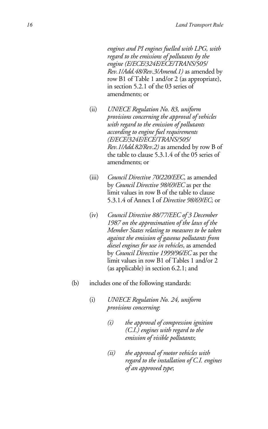*engines and PI engines fuelled with LPG, with regard to the emissions of pollutants by the engine (E/ECE/324E/ECE/TRANS/505/ Rev.1/Add.48/Rev.3/Amend.1)* as amended by row B1 of Table 1 and/or 2 (as appropriate), in section 5.2.1 of the 03 series of amendments; or

- (ii) *UN/ECE Regulation No. 83, uniform provisions concerning the approval of vehicles with regard to the emission of pollutants according to engine fuel requirements (E/ECE/324E/ECE/TRANS/505/ Rev.1/Add.82/Rev.2)* as amended by row B of the table to clause 5.3.1.4 of the 05 series of amendments; or
- (iii) *Council Directive 70/220/EEC*, as amended by *Council Directive 98/69/EC* as per the limit values in row B of the table to clause 5.3.1.4 of Annex I of *Directive 98/69/EC*; or
- (iv) *Council Directive 88/77/EEC of 3 December 1987 on the approximation of the laws of the Member States relating to measures to be taken against the emission of gaseous pollutants from diesel engines for use in vehicles*, as amended by *Council Directive 1999/96/EC* as per the limit values in row B1 of Tables 1 and/or 2 (as applicable) in section 6.2.1; and
- (b) includes one of the following standards:
	- (i) *UN/ECE Regulation No. 24, uniform provisions concerning*:
		- *(i) the approval of compression ignition (C.I.) engines with regard to the emission of visible pollutants*;
		- *(ii) the approval of motor vehicles with regard to the installation of C.I. engines of an approved type*;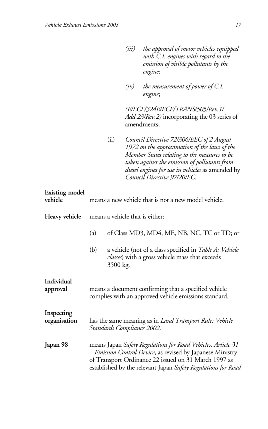|                            |                                 |          | (iii) | the approval of motor vehicles equipped<br>with C.I. engines with regard to the<br>emission of visible pollutants by the<br>engine;                                                                                                                                          |  |
|----------------------------|---------------------------------|----------|-------|------------------------------------------------------------------------------------------------------------------------------------------------------------------------------------------------------------------------------------------------------------------------------|--|
|                            |                                 |          | (iv)  | the measurement of power of $C.I.$<br>engine;                                                                                                                                                                                                                                |  |
|                            |                                 |          |       | (E/ECE/324E/ECE/TRANS/505/Rev.1/<br>Add.23/Rev.2) incorporating the 03 series of<br>amendments;                                                                                                                                                                              |  |
|                            |                                 | (ii)     |       | Council Directive 72/306/EEC of 2 August<br>1972 on the approximation of the laws of the<br>Member States relating to the measures to be<br>taken against the emission of pollutants from<br>diesel engines for use in vehicles as amended by<br>Council Directive 97/20/EC. |  |
| Existing-model<br>vehicle  |                                 |          |       | means a new vehicle that is not a new model vehicle.                                                                                                                                                                                                                         |  |
| Heavy vehicle              | means a vehicle that is either: |          |       |                                                                                                                                                                                                                                                                              |  |
|                            | (a)                             |          |       | of Class MD3, MD4, ME, NB, NC, TC or TD; or                                                                                                                                                                                                                                  |  |
|                            | (b)                             | 3500 kg. |       | a vehicle (not of a class specified in <i>Table A: Vehicle</i><br>classes) with a gross vehicle mass that exceeds                                                                                                                                                            |  |
| Individual<br>approval     |                                 |          |       | means a document confirming that a specified vehicle<br>complies with an approved vehicle emissions standard.                                                                                                                                                                |  |
| Inspecting<br>organisation |                                 |          |       | has the same meaning as in <i>Land Transport Rule: Vehicle</i><br>Standards Compliance 2002.                                                                                                                                                                                 |  |
| Japan 98                   |                                 |          |       | means Japan Safety Regulations for Road Vehicles, Article 31<br>- Emission Control Device, as revised by Japanese Ministry<br>of Transport Ordinance 22 issued on 31 March 1997 as<br>established by the relevant Japan Safety Regulations for Road                          |  |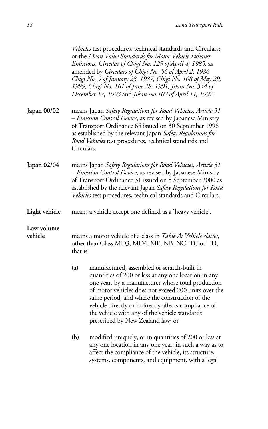|                       | Vehicles test procedures, technical standards and Circulars;<br>or the Mean Value Standards for Motor Vehicle Exhaust<br>Emissions, Circular of Chigi No. 129 of April 4, 1985, as<br>amended by Circulars of Chigi No. 56 of April 2, 1986,<br>Chigi No. 9 of January 23, 1987, Chigi No. 108 of May 29,<br>1989, Chigi No. 161 of June 28, 1991, Jikan No. 344 of<br>December 17, 1993 and Jikan No.102 of April 11, 1997. |  |  |
|-----------------------|------------------------------------------------------------------------------------------------------------------------------------------------------------------------------------------------------------------------------------------------------------------------------------------------------------------------------------------------------------------------------------------------------------------------------|--|--|
| Japan 00/02           | means Japan Safety Regulations for Road Vehicles, Article 31<br>- Emission Control Device, as revised by Japanese Ministry<br>of Transport Ordinance 65 issued on 30 September 1998<br>as established by the relevant Japan Safety Regulations for<br>Road Vehicles test procedures, technical standards and<br>Circulars.                                                                                                   |  |  |
| Japan 02/04           | means Japan Safety Regulations for Road Vehicles, Article 31<br>- Emission Control Device, as revised by Japanese Ministry<br>of Transport Ordinance 31 issued on 5 September 2000 as<br>established by the relevant Japan Safety Regulations for Road<br>Vehicles test procedures, technical standards and Circulars.                                                                                                       |  |  |
| Light vehicle         | means a vehicle except one defined as a 'heavy vehicle'.                                                                                                                                                                                                                                                                                                                                                                     |  |  |
| Low volume<br>vehicle | means a motor vehicle of a class in Table A: Vehicle classes,<br>other than Class MD3, MD4, ME, NB, NC, TC or TD,<br>that is:                                                                                                                                                                                                                                                                                                |  |  |
|                       | (a)<br>manufactured, assembled or scratch-built in<br>quantities of 200 or less at any one location in any<br>one year, by a manufacturer whose total production<br>of motor vehicles does not exceed 200 units over the<br>same period, and where the construction of the<br>vehicle directly or indirectly affects compliance of<br>the vehicle with any of the vehicle standards<br>prescribed by New Zealand law; or     |  |  |
|                       | (b)<br>modified uniquely, or in quantities of 200 or less at<br>any one location in any one year, in such a way as to<br>affect the compliance of the vehicle, its structure,<br>systems, components, and equipment, with a legal                                                                                                                                                                                            |  |  |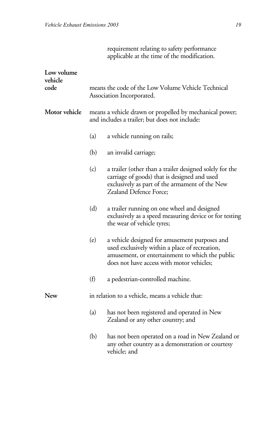|                               |     | applicable at the time of the modification.                                                                                                                                                     |
|-------------------------------|-----|-------------------------------------------------------------------------------------------------------------------------------------------------------------------------------------------------|
| Low volume<br>vehicle<br>code |     | means the code of the Low Volume Vehicle Technical<br>Association Incorporated.                                                                                                                 |
| Motor vehicle                 |     | means a vehicle drawn or propelled by mechanical power;<br>and includes a trailer; but does not include:                                                                                        |
|                               | (a) | a vehicle running on rails;                                                                                                                                                                     |
|                               | (b) | an invalid carriage;                                                                                                                                                                            |
|                               | (c) | a trailer (other than a trailer designed solely for the<br>carriage of goods) that is designed and used<br>exclusively as part of the armament of the New<br>Zealand Defence Force;             |
|                               | (d) | a trailer running on one wheel and designed<br>exclusively as a speed measuring device or for testing<br>the wear of vehicle tyres;                                                             |
|                               | (e) | a vehicle designed for amusement purposes and<br>used exclusively within a place of recreation,<br>amusement, or entertainment to which the public<br>does not have access with motor vehicles; |
|                               | (f) | a pedestrian-controlled machine.                                                                                                                                                                |
| <b>New</b>                    |     | in relation to a vehicle, means a vehicle that:                                                                                                                                                 |
|                               | (a) | has not been registered and operated in New<br>Zealand or any other country; and                                                                                                                |
|                               | (b) | has not been operated on a road in New Zealand or<br>any other country as a demonstration or courtesy<br>vehicle; and                                                                           |

requirement relating to safety performance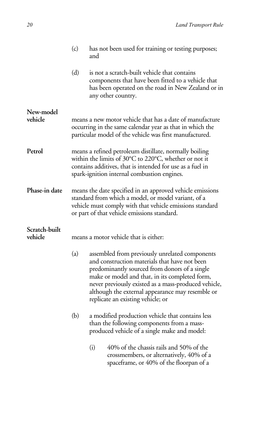|                          | (c)                                                                                                                                                                                                                         | and | has not been used for training or testing purposes;                                                                                                                                                                                                                                                                                                 |
|--------------------------|-----------------------------------------------------------------------------------------------------------------------------------------------------------------------------------------------------------------------------|-----|-----------------------------------------------------------------------------------------------------------------------------------------------------------------------------------------------------------------------------------------------------------------------------------------------------------------------------------------------------|
|                          | (d)                                                                                                                                                                                                                         |     | is not a scratch-built vehicle that contains<br>components that have been fitted to a vehicle that<br>has been operated on the road in New Zealand or in<br>any other country.                                                                                                                                                                      |
| New-model<br>vehicle     |                                                                                                                                                                                                                             |     | means a new motor vehicle that has a date of manufacture<br>occurring in the same calendar year as that in which the<br>particular model of the vehicle was first manufactured.                                                                                                                                                                     |
| Petrol                   | means a refined petroleum distillate, normally boiling<br>within the limits of 30°C to 220°C, whether or not it<br>contains additives, that is intended for use as a fuel in<br>spark-ignition internal combustion engines. |     |                                                                                                                                                                                                                                                                                                                                                     |
| Phase-in date            | means the date specified in an approved vehicle emissions<br>standard from which a model, or model variant, of a<br>vehicle must comply with that vehicle emissions standard<br>or part of that vehicle emissions standard. |     |                                                                                                                                                                                                                                                                                                                                                     |
| Scratch-built<br>vehicle |                                                                                                                                                                                                                             |     | means a motor vehicle that is either:                                                                                                                                                                                                                                                                                                               |
|                          | (a)                                                                                                                                                                                                                         |     | assembled from previously unrelated components<br>and construction materials that have not been<br>predominantly sourced from donors of a single<br>make or model and that, in its completed form,<br>never previously existed as a mass-produced vehicle,<br>although the external appearance may resemble or<br>replicate an existing vehicle; or |
|                          | (b)                                                                                                                                                                                                                         |     | a modified production vehicle that contains less<br>than the following components from a mass-<br>produced vehicle of a single make and model:                                                                                                                                                                                                      |
|                          |                                                                                                                                                                                                                             | (i) | 40% of the chassis rails and 50% of the<br>crossmembers, or alternatively, 40% of a<br>spaceframe, or 40% of the floorpan of a                                                                                                                                                                                                                      |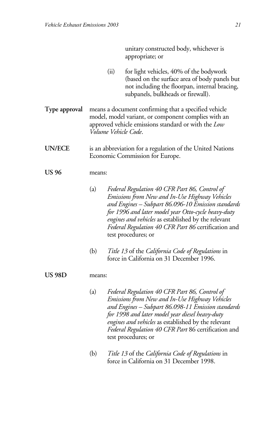|               |        |      | unitary constructed body, whichever is<br>appropriate; or                                                                                                                                                                                                                                                                                         |
|---------------|--------|------|---------------------------------------------------------------------------------------------------------------------------------------------------------------------------------------------------------------------------------------------------------------------------------------------------------------------------------------------------|
|               |        | (ii) | for light vehicles, 40% of the bodywork<br>(based on the surface area of body panels but<br>not including the floorpan, internal bracing,<br>subpanels, bulkheads or firewall).                                                                                                                                                                   |
| Type approval |        |      | means a document confirming that a specified vehicle<br>model, model variant, or component complies with an<br>approved vehicle emissions standard or with the Low<br>Volume Vehicle Code.                                                                                                                                                        |
| <b>UN/ECE</b> |        |      | is an abbreviation for a regulation of the United Nations<br>Economic Commission for Europe.                                                                                                                                                                                                                                                      |
| US 96         | means: |      |                                                                                                                                                                                                                                                                                                                                                   |
|               | (a)    |      | Federal Regulation 40 CFR Part 86, Control of<br>Emissions from New and In-Use Highway Vehicles<br>and Engines - Subpart 86.096-10 Emission standards<br>for 1996 and later model year Otto-cycle heavy-duty<br>engines and vehicles as established by the relevant<br>Federal Regulation 40 CFR Part 86 certification and<br>test procedures; or |
|               | (b)    |      | Title 13 of the California Code of Regulations in<br>force in California on 31 December 1996.                                                                                                                                                                                                                                                     |
| <b>US 98D</b> | means: |      |                                                                                                                                                                                                                                                                                                                                                   |
|               | (a)    |      | Federal Regulation 40 CFR Part 86, Control of<br>Emissions from New and In-Use Highway Vehicles<br>and Engines - Subpart 86.098-11 Emission standards<br>for 1998 and later model year diesel heavy-duty<br>engines and vehicles as established by the relevant<br>Federal Regulation 40 CFR Part 86 certification and<br>test procedures; or     |
|               | (b)    |      | Title 13 of the California Code of Regulations in<br>force in California on 31 December 1998.                                                                                                                                                                                                                                                     |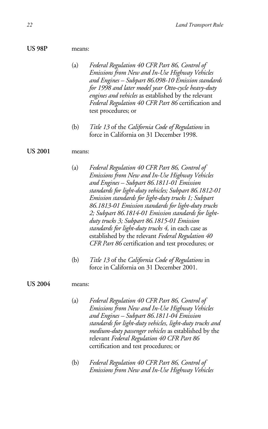#### **US 98P** means:

- (a) *Federal Regulation 40 CFR Part 86, Control of Emissions from New and In-Use Highway Vehicles and Engines – Subpart 86.098-10 Emission standards for 1998 and later model year Otto-cycle heavy-duty engines and vehicles* as established by the relevant *Federal Regulation 40 CFR Part 86* certification and test procedures; or
- (b) *Title 13* of the *California Code of Regulations* in force in California on 31 December 1998.

#### **US 2001** means:

- (a) *Federal Regulation 40 CFR Part 86, Control of Emissions from New and In-Use Highway Vehicles and Engines – Subpart 86.1811-01 Emission standards for light-duty vehicles; Subpart 86.1812-01 Emission standards for light-duty trucks 1; Subpart 86.1813-01 Emission standards for light-duty trucks 2; Subpart 86.1814-01 Emission standards for lightduty trucks 3; Subpart 86.1815-01 Emission standards for light-duty trucks 4,* in each case as established by the relevant *Federal Regulation 40 CFR Part 86* certification and test procedures; or
- (b) *Title 13* of the *California Code of Regulations* in force in California on 31 December 2001.

### **US 2004** means:

- (a) *Federal Regulation 40 CFR Part 86, Control of Emissions from New and In-Use Highway Vehicles and Engines – Subpart 86.1811-04 Emission standards for light-duty vehicles, light-duty trucks and medium-duty passenger vehicles* as established by the relevant *Federal Regulation 40 CFR Part 86* certification and test procedures; or
- (b) *Federal Regulation 40 CFR Part 86, Control of Emissions from New and In-Use Highway Vehicles*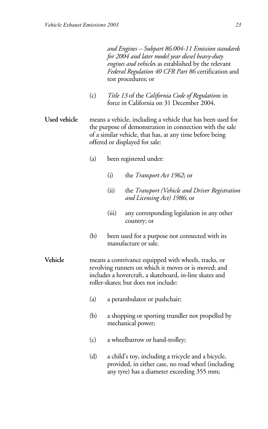|              |     |                                                                                                                                                                                                                       | and Engines – Subpart 86.004-11 Emission standards<br>for 2004 and later model year diesel heavy-duty<br><i>engines and vehicles</i> as established by the relevant<br>Federal Regulation 40 CFR Part 86 certification and |
|--------------|-----|-----------------------------------------------------------------------------------------------------------------------------------------------------------------------------------------------------------------------|----------------------------------------------------------------------------------------------------------------------------------------------------------------------------------------------------------------------------|
|              |     |                                                                                                                                                                                                                       | test procedures; or                                                                                                                                                                                                        |
|              | (c) |                                                                                                                                                                                                                       | Title 13 of the California Code of Regulations in<br>force in California on 31 December 2004.                                                                                                                              |
| Used vehicle |     | means a vehicle, including a vehicle that has been used for<br>the purpose of demonstration in connection with the sale<br>of a similar vehicle, that has, at any time before being<br>offered or displayed for sale: |                                                                                                                                                                                                                            |
|              | (a) |                                                                                                                                                                                                                       | been registered under:                                                                                                                                                                                                     |
|              |     | (i)                                                                                                                                                                                                                   | the <i>Transport Act 1962</i> ; or                                                                                                                                                                                         |
|              |     | (ii)                                                                                                                                                                                                                  | the Transport (Vehicle and Driver Registration<br>and Licensing Act) 1986; or                                                                                                                                              |
|              |     | (iii)                                                                                                                                                                                                                 | any corresponding legislation in any other<br>country; or                                                                                                                                                                  |
|              | (b) |                                                                                                                                                                                                                       | been used for a purpose not connected with its<br>manufacture or sale.                                                                                                                                                     |
| Vehicle      |     | means a contrivance equipped with wheels, tracks, or<br>revolving runners on which it moves or is moved; and<br>includes a hovercraft, a skateboard, in-line skates and<br>roller-skates; but does not include:       |                                                                                                                                                                                                                            |
|              | (a) |                                                                                                                                                                                                                       | a perambulator or pushchair;                                                                                                                                                                                               |
|              | (b) | a shopping or sporting trundler not propelled by<br>mechanical power;                                                                                                                                                 |                                                                                                                                                                                                                            |
|              | (c) |                                                                                                                                                                                                                       | a wheelbarrow or hand-trolley;                                                                                                                                                                                             |
|              | (d) |                                                                                                                                                                                                                       | a child's toy, including a tricycle and a bicycle,<br>provided, in either case, no road wheel (including<br>any tyre) has a diameter exceeding 355 mm;                                                                     |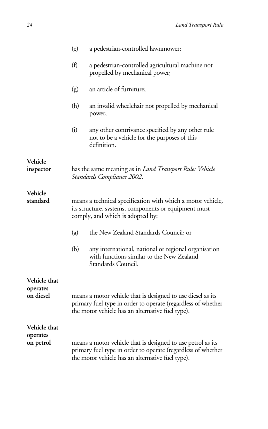|                                       | (e)                                                                                                                                                                             | a pedestrian-controlled lawnmower;                                                                                      |
|---------------------------------------|---------------------------------------------------------------------------------------------------------------------------------------------------------------------------------|-------------------------------------------------------------------------------------------------------------------------|
|                                       | (f)                                                                                                                                                                             | a pedestrian-controlled agricultural machine not<br>propelled by mechanical power;                                      |
|                                       | (g)                                                                                                                                                                             | an article of furniture;                                                                                                |
|                                       | (h)                                                                                                                                                                             | an invalid wheelchair not propelled by mechanical<br>power;                                                             |
|                                       | (i)                                                                                                                                                                             | any other contrivance specified by any other rule<br>not to be a vehicle for the purposes of this<br>definition.        |
| Vehicle<br>inspector                  | has the same meaning as in <i>Land Transport Rule: Vehicle</i><br>Standards Compliance 2002.                                                                                    |                                                                                                                         |
| Vehicle<br>standard                   | means a technical specification with which a motor vehicle,<br>its structure, systems, components or equipment must<br>comply, and which is adopted by:                         |                                                                                                                         |
|                                       | (a)                                                                                                                                                                             | the New Zealand Standards Council; or                                                                                   |
|                                       | (b)                                                                                                                                                                             | any international, national or regional organisation<br>with functions similar to the New Zealand<br>Standards Council. |
| Vehicle that<br>operates<br>on diesel | means a motor vehicle that is designed to use diesel as its<br>primary fuel type in order to operate (regardless of whether<br>the motor vehicle has an alternative fuel type). |                                                                                                                         |
| Vehicle that<br>operates<br>on petrol | means a motor vehicle that is designed to use petrol as its<br>primary fuel type in order to operate (regardless of whether<br>the motor vehicle has an alternative fuel type). |                                                                                                                         |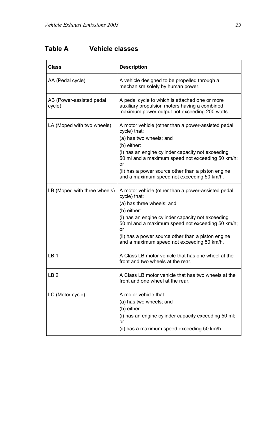### **Table A Vehicle classes**

| Class                              | <b>Description</b>                                                                                                                                                                                                                                                                                                                |
|------------------------------------|-----------------------------------------------------------------------------------------------------------------------------------------------------------------------------------------------------------------------------------------------------------------------------------------------------------------------------------|
| AA (Pedal cycle)                   | A vehicle designed to be propelled through a<br>mechanism solely by human power.                                                                                                                                                                                                                                                  |
| AB (Power-assisted pedal<br>cycle) | A pedal cycle to which is attached one or more<br>auxiliary propulsion motors having a combined<br>maximum power output not exceeding 200 watts.                                                                                                                                                                                  |
| LA (Moped with two wheels)         | A motor vehicle (other than a power-assisted pedal<br>cycle) that:<br>(a) has two wheels; and<br>(b) either:<br>(i) has an engine cylinder capacity not exceeding<br>50 ml and a maximum speed not exceeding 50 km/h;<br>or<br>(ii) has a power source other than a piston engine<br>and a maximum speed not exceeding 50 km/h.   |
| LB (Moped with three wheels)       | A motor vehicle (other than a power-assisted pedal<br>cycle) that:<br>(a) has three wheels; and<br>(b) either:<br>(i) has an engine cylinder capacity not exceeding<br>50 ml and a maximum speed not exceeding 50 km/h;<br>or<br>(ii) has a power source other than a piston engine<br>and a maximum speed not exceeding 50 km/h. |
| LB <sub>1</sub>                    | A Class LB motor vehicle that has one wheel at the<br>front and two wheels at the rear.                                                                                                                                                                                                                                           |
| LB <sub>2</sub>                    | A Class LB motor vehicle that has two wheels at the<br>front and one wheel at the rear.                                                                                                                                                                                                                                           |
| LC (Motor cycle)                   | A motor vehicle that:<br>(a) has two wheels; and<br>(b) either:<br>(i) has an engine cylinder capacity exceeding 50 ml;<br>or<br>(ii) has a maximum speed exceeding 50 km/h.                                                                                                                                                      |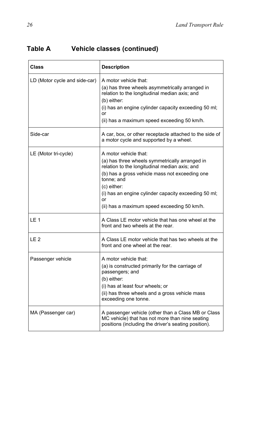## **Table A Vehicle classes (continued)**

| Class                         | <b>Description</b>                                                                                                                                                                                                                                                                                                   |
|-------------------------------|----------------------------------------------------------------------------------------------------------------------------------------------------------------------------------------------------------------------------------------------------------------------------------------------------------------------|
| LD (Motor cycle and side-car) | A motor vehicle that:<br>(a) has three wheels asymmetrically arranged in<br>relation to the longitudinal median axis; and<br>$(b)$ either:<br>(i) has an engine cylinder capacity exceeding 50 ml;<br>or<br>(ii) has a maximum speed exceeding 50 km/h.                                                              |
| Side-car                      | A car, box, or other receptacle attached to the side of<br>a motor cycle and supported by a wheel.                                                                                                                                                                                                                   |
| LE (Motor tri-cycle)          | A motor vehicle that:<br>(a) has three wheels symmetrically arranged in<br>relation to the longitudinal median axis; and<br>(b) has a gross vehicle mass not exceeding one<br>tonne; and<br>(c) either:<br>(i) has an engine cylinder capacity exceeding 50 ml;<br>or<br>(ii) has a maximum speed exceeding 50 km/h. |
| LE 1                          | A Class LE motor vehicle that has one wheel at the<br>front and two wheels at the rear.                                                                                                                                                                                                                              |
| LE <sub>2</sub>               | A Class LE motor vehicle that has two wheels at the<br>front and one wheel at the rear.                                                                                                                                                                                                                              |
| Passenger vehicle             | A motor vehicle that:<br>(a) is constructed primarily for the carriage of<br>passengers; and<br>(b) either:<br>(i) has at least four wheels; or<br>(ii) has three wheels and a gross vehicle mass<br>exceeding one tonne.                                                                                            |
| MA (Passenger car)            | A passenger vehicle (other than a Class MB or Class<br>MC vehicle) that has not more than nine seating<br>positions (including the driver's seating position).                                                                                                                                                       |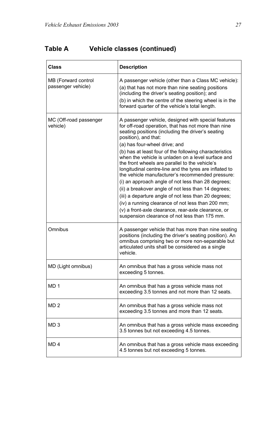## **Table A Vehicle classes (continued)**

| Class                                     | <b>Description</b>                                                                                                                                                                                                                                                                                                                                                                                                                                                                                                                                                                                                                                                                                                                                                                                                                         |
|-------------------------------------------|--------------------------------------------------------------------------------------------------------------------------------------------------------------------------------------------------------------------------------------------------------------------------------------------------------------------------------------------------------------------------------------------------------------------------------------------------------------------------------------------------------------------------------------------------------------------------------------------------------------------------------------------------------------------------------------------------------------------------------------------------------------------------------------------------------------------------------------------|
| MB (Forward control<br>passenger vehicle) | A passenger vehicle (other than a Class MC vehicle):<br>(a) that has not more than nine seating positions<br>(including the driver's seating position); and<br>(b) in which the centre of the steering wheel is in the<br>forward quarter of the vehicle's total length.                                                                                                                                                                                                                                                                                                                                                                                                                                                                                                                                                                   |
| MC (Off-road passenger<br>vehicle)        | A passenger vehicle, designed with special features<br>for off-road operation, that has not more than nine<br>seating positions (including the driver's seating<br>position), and that:<br>(a) has four-wheel drive; and<br>(b) has at least four of the following characteristics<br>when the vehicle is unladen on a level surface and<br>the front wheels are parallel to the vehicle's<br>longitudinal centre-line and the tyres are inflated to<br>the vehicle manufacturer's recommended pressure:<br>(i) an approach angle of not less than 28 degrees;<br>(ii) a breakover angle of not less than 14 degrees;<br>(iii) a departure angle of not less than 20 degrees;<br>(iv) a running clearance of not less than 200 mm;<br>(v) a front-axle clearance, rear-axle clearance, or<br>suspension clearance of not less than 175 mm. |
| Omnibus                                   | A passenger vehicle that has more than nine seating<br>positions (including the driver's seating position). An<br>omnibus comprising two or more non-separable but<br>articulated units shall be considered as a single<br>vehicle.                                                                                                                                                                                                                                                                                                                                                                                                                                                                                                                                                                                                        |
| MD (Light omnibus)                        | An omnibus that has a gross vehicle mass not<br>exceeding 5 tonnes.                                                                                                                                                                                                                                                                                                                                                                                                                                                                                                                                                                                                                                                                                                                                                                        |
| MD <sub>1</sub>                           | An omnibus that has a gross vehicle mass not<br>exceeding 3.5 tonnes and not more than 12 seats.                                                                                                                                                                                                                                                                                                                                                                                                                                                                                                                                                                                                                                                                                                                                           |
| MD <sub>2</sub>                           | An omnibus that has a gross vehicle mass not<br>exceeding 3.5 tonnes and more than 12 seats.                                                                                                                                                                                                                                                                                                                                                                                                                                                                                                                                                                                                                                                                                                                                               |
| MD <sub>3</sub>                           | An omnibus that has a gross vehicle mass exceeding<br>3.5 tonnes but not exceeding 4.5 tonnes.                                                                                                                                                                                                                                                                                                                                                                                                                                                                                                                                                                                                                                                                                                                                             |
| MD <sub>4</sub>                           | An omnibus that has a gross vehicle mass exceeding<br>4.5 tonnes but not exceeding 5 tonnes.                                                                                                                                                                                                                                                                                                                                                                                                                                                                                                                                                                                                                                                                                                                                               |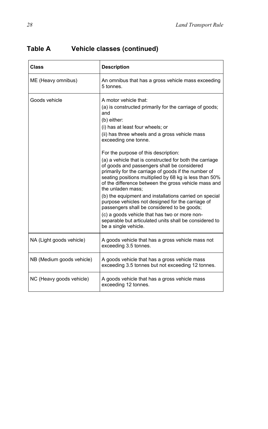| Class                     | <b>Description</b>                                                                                                                                                                                                                                                                                                                                                                                                                                                                                                                                                                                                                                                                                                                                                                                                                                                     |
|---------------------------|------------------------------------------------------------------------------------------------------------------------------------------------------------------------------------------------------------------------------------------------------------------------------------------------------------------------------------------------------------------------------------------------------------------------------------------------------------------------------------------------------------------------------------------------------------------------------------------------------------------------------------------------------------------------------------------------------------------------------------------------------------------------------------------------------------------------------------------------------------------------|
| ME (Heavy omnibus)        | An omnibus that has a gross vehicle mass exceeding<br>5 tonnes.                                                                                                                                                                                                                                                                                                                                                                                                                                                                                                                                                                                                                                                                                                                                                                                                        |
| Goods vehicle             | A motor vehicle that:<br>(a) is constructed primarily for the carriage of goods;<br>and<br>(b) either:<br>(i) has at least four wheels; or<br>(ii) has three wheels and a gross vehicle mass<br>exceeding one tonne.<br>For the purpose of this description:<br>(a) a vehicle that is constructed for both the carriage<br>of goods and passengers shall be considered<br>primarily for the carriage of goods if the number of<br>seating positions multiplied by 68 kg is less than 50%<br>of the difference between the gross vehicle mass and<br>the unladen mass:<br>(b) the equipment and installations carried on special<br>purpose vehicles not designed for the carriage of<br>passengers shall be considered to be goods;<br>(c) a goods vehicle that has two or more non-<br>separable but articulated units shall be considered to<br>be a single vehicle. |
| NA (Light goods vehicle)  | A goods vehicle that has a gross vehicle mass not<br>exceeding 3.5 tonnes.                                                                                                                                                                                                                                                                                                                                                                                                                                                                                                                                                                                                                                                                                                                                                                                             |
| NB (Medium goods vehicle) | A goods vehicle that has a gross vehicle mass<br>exceeding 3.5 tonnes but not exceeding 12 tonnes.                                                                                                                                                                                                                                                                                                                                                                                                                                                                                                                                                                                                                                                                                                                                                                     |
| NC (Heavy goods vehicle)  | A goods vehicle that has a gross vehicle mass<br>exceeding 12 tonnes.                                                                                                                                                                                                                                                                                                                                                                                                                                                                                                                                                                                                                                                                                                                                                                                                  |